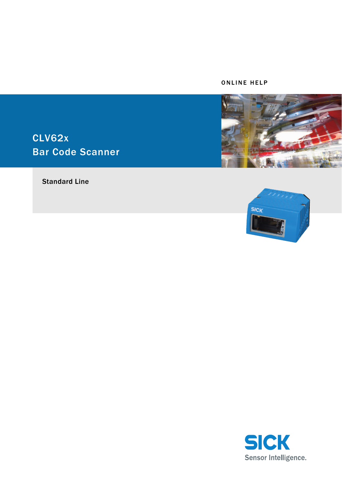## ONLINE HELP



Standard Line



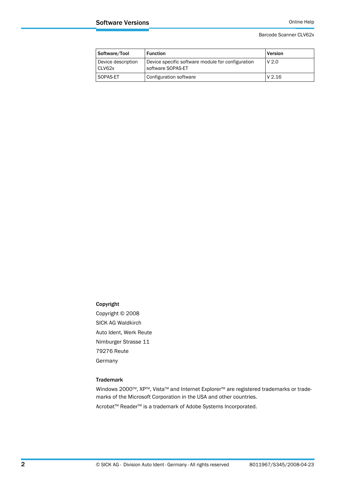| Software/Tool                | <b>Function</b>                                                        | <b>Version</b>   |
|------------------------------|------------------------------------------------------------------------|------------------|
| Device description<br>CLV62x | Device specific software module for configuration<br>software SOPAS-ET | V <sub>2.0</sub> |
| SOPAS-ET                     | Configuration software                                                 | $V$ 2.16         |

## Copyright

Copyright © 2008 SICK AG Waldkirch Auto Ident, Werk Reute Nimburger Strasse 11 79276 Reute Germany

## **Trademark**

Windows 2000™, XP™, Vista<sup>™</sup> and Internet Explorer<sup>™</sup> are registered trademarks or trademarks of the Microsoft Corporation in the USA and other countries. Acrobat™ Reader<sup>™</sup> is a trademark of Adobe Systems Incorporated.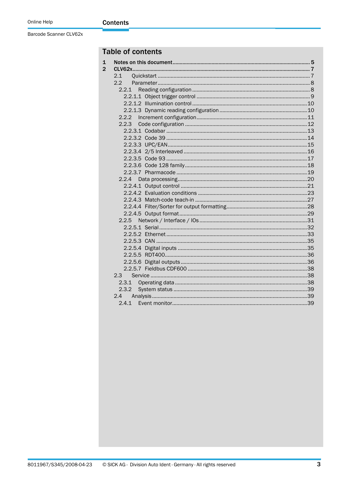$\mathbf{1}$  $\overline{2}$ 

# **Table of contents**

| 2.1     |  |
|---------|--|
| 2.2     |  |
| 2.2.1   |  |
|         |  |
|         |  |
|         |  |
| 2.2.2   |  |
| 2.2.3   |  |
|         |  |
|         |  |
|         |  |
|         |  |
|         |  |
|         |  |
|         |  |
| 2.2.4   |  |
|         |  |
|         |  |
|         |  |
|         |  |
|         |  |
| 2.2.5   |  |
|         |  |
|         |  |
|         |  |
|         |  |
|         |  |
|         |  |
|         |  |
| $2.3 -$ |  |
| 2.3.1   |  |
| 2.3.2   |  |
| 2.4     |  |
|         |  |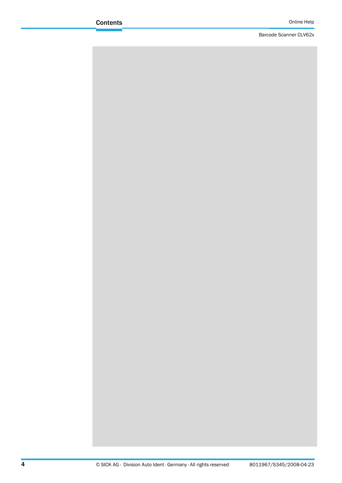## **Contents**

## Barcode Scanner CLV62x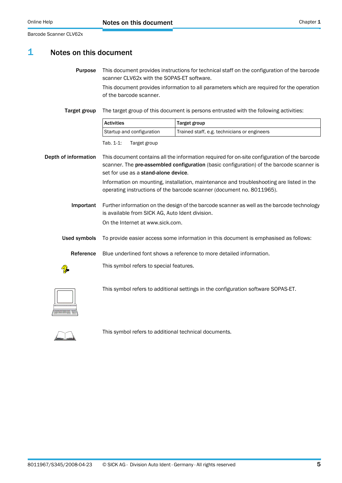## <span id="page-4-0"></span>1 Notes on this document

Purpose This document provides instructions for technical staff on the configuration of the barcode scanner CLV62x with the SOPAS-ET software.

> This document provides information to all parameters which are required for the operation of the barcode scanner.

Target group The target group of this document is persons entrusted with the following activities:

| <b>Activities</b>         | Target group                                 |
|---------------------------|----------------------------------------------|
| Startup and configuration | Trained staff, e.g. technicians or engineers |

Tab. 1-1: Target group

Depth of information This document contains all the information required for on-site configuration of the barcode scanner. The pre-assembled configuration (basic configuration) of the barcode scanner is set for use as a stand-alone device.

> Information on mounting, installation, maintenance and troubleshooting are listed in the operating instructions of the barcode scanner (document no. 8011965).

- Important Further information on the design of the barcode scanner as well as the barcode technology is available from SICK AG, Auto Ident division. On the Internet at www.sick.com.
- Used symbols To provide easier access some information in this document is emphasised as follows:
	- Reference Blue underlined font shows a reference to more detailed information.

This symbol refers to special features.



This symbol refers to additional settings in the configuration software SOPAS-ET.



This symbol refers to additional technical documents.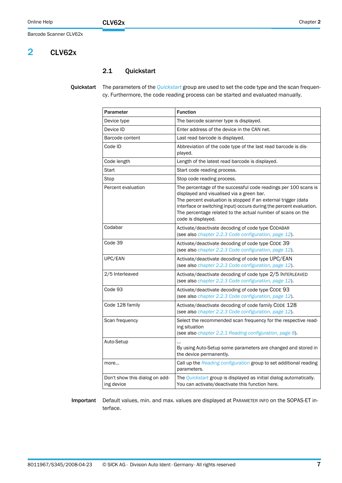# <span id="page-6-0"></span>2 CLV62x

## <span id="page-6-1"></span>2.1 Quickstart

Quickstart The parameters of the *Quickstart* group are used to set the code type and the scan frequency. Furthermore, the code reading process can be started and evaluated manually.

| Parameter                                    | <b>Function</b>                                                                                                                                                                                                                                                                                                                            |
|----------------------------------------------|--------------------------------------------------------------------------------------------------------------------------------------------------------------------------------------------------------------------------------------------------------------------------------------------------------------------------------------------|
| Device type                                  | The barcode scanner type is displayed.                                                                                                                                                                                                                                                                                                     |
| Device ID                                    | Enter address of the device in the CAN net.                                                                                                                                                                                                                                                                                                |
| Barcode content                              | Last read barcode is displayed.                                                                                                                                                                                                                                                                                                            |
| Code ID                                      | Abbreviation of the code type of the last read barcode is dis-<br>played.                                                                                                                                                                                                                                                                  |
| Code length                                  | Length of the latest read barcode is displayed.                                                                                                                                                                                                                                                                                            |
| Start                                        | Start code reading process.                                                                                                                                                                                                                                                                                                                |
| Stop                                         | Stop code reading process.                                                                                                                                                                                                                                                                                                                 |
| Percent evaluation                           | The percentage of the successful code readings per 100 scans is<br>displayed and visualised via a green bar.<br>The percent evaluation is stopped if an external trigger (data<br>interface or switching input) occurs during the percent evaluation.<br>The percentage related to the actual number of scans on the<br>code is displayed. |
| Codabar                                      | Activate/deactivate decoding of code type CODABAR<br>(see also chapter 2.2.3 Code configuration, page 12).                                                                                                                                                                                                                                 |
| Code 39                                      | Activate/deactivate decoding of code type CODE 39<br>(see also chapter 2.2.3 Code configuration, page 12).                                                                                                                                                                                                                                 |
| UPC/EAN                                      | Activate/deactivate decoding of code type UPC/EAN<br>(see also chapter 2.2.3 Code configuration, page 12).                                                                                                                                                                                                                                 |
| 2/5 Interleaved                              | Activate/deactivate decoding of code type 2/5 INTERLEAVED<br>(see also chapter 2.2.3 Code configuration, page 12).                                                                                                                                                                                                                         |
| Code 93                                      | Activate/deactivate decoding of code type CODE 93<br>(see also chapter 2.2.3 Code configuration, page 12).                                                                                                                                                                                                                                 |
| Code 128 family                              | Activate/deactivate decoding of code family CODE 128<br>(see also chapter 2.2.3 Code configuration, page 12).                                                                                                                                                                                                                              |
| Scan frequency                               | Select the recommended scan frequency for the respective read-<br>ing situation<br>(see also chapter 2.2.1 Reading configuration, page 8).                                                                                                                                                                                                 |
| Auto-Setup                                   | By using Auto-Setup some parameters are changed and stored in<br>the device permanently.                                                                                                                                                                                                                                                   |
| more                                         | Call up the Reading configuration group to set additional reading<br>parameters.                                                                                                                                                                                                                                                           |
| Don't show this dialog on add-<br>ing device | The Quickstart group is displayed as initial dialog automatically.<br>You can activate/deactivate this function here.                                                                                                                                                                                                                      |

Important Default values, min. and max. values are displayed at PARAMETER INFO on the SOPAS-ET interface.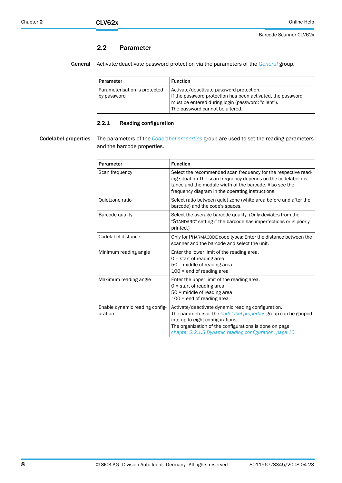## <span id="page-7-0"></span>2.2 Parameter

General Activate/deactivate password protection via the parameters of the *General* group.

| Parameter                                    | <b>Function</b>                                                                                                                                                                                  |
|----------------------------------------------|--------------------------------------------------------------------------------------------------------------------------------------------------------------------------------------------------|
| Parameterisation is protected<br>by password | Activate/deactivate password protection.<br>If the password protection has been activated, the password<br>must be entered during login (password: "client").<br>The password cannot be altered. |

## <span id="page-7-1"></span>2.2.1 Reading configuration

Codelabel properties The parameters of the *Codelabel properties* group are used to set the reading parameters and the barcode properties.

| Parameter                                 | <b>Function</b>                                                                                                                                                                                                                                                               |
|-------------------------------------------|-------------------------------------------------------------------------------------------------------------------------------------------------------------------------------------------------------------------------------------------------------------------------------|
| Scan frequency                            | Select the recommended scan frequency for the respective read-<br>ing situation The scan frequency depends on the codelabel dis-<br>tance and the module width of the barcode. Also see the<br>frequency diagram in the operating instructions.                               |
| Quietzone ratio                           | Select ratio between quiet zone (white area before and after the<br>barcode) and the code's spaces.                                                                                                                                                                           |
| Barcode quality                           | Select the average barcode quality. (Only deviates from the<br>"STANDARD" setting if the barcode has imperfections or is poorly<br>printed.)                                                                                                                                  |
| Codelabel distance                        | Only for PHARMACODE code types: Enter the distance between the<br>scanner and the barcode and select the unit.                                                                                                                                                                |
| Minimum reading angle                     | Enter the lower limit of the reading area.<br>$0 =$ start of reading area<br>$50$ = middle of reading area<br>$100 =$ end of reading area                                                                                                                                     |
| Maximum reading angle                     | Enter the upper limit of the reading area.<br>$0 =$ start of reading area<br>$50$ = middle of reading area<br>$100 =$ end of reading area                                                                                                                                     |
| Enable dynamic reading config-<br>uration | Activate/deactivate dynamic reading configuration.<br>The parameters of the Codelabel properties group can be gouped<br>into up to eight configurations.<br>The organization of the configurations is done on page<br>chapter 2.2.1.3 Dynamic reading configuration, page 10. |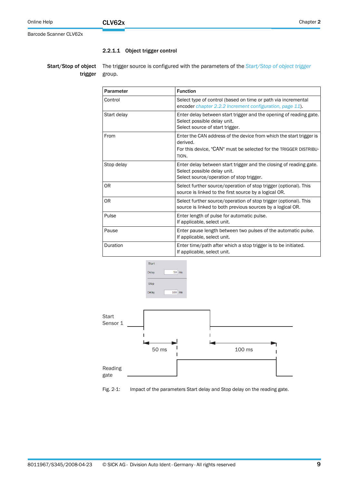## <span id="page-8-0"></span>2.2.1.1 Object trigger control

Start/Stop of object trigger The trigger source is configured with the parameters of the *Start/Stop of object trigger* group.

| Parameter      | <b>Function</b>                                                                                                                                               |
|----------------|---------------------------------------------------------------------------------------------------------------------------------------------------------------|
| Control        | Select type of control (based on time or path via incremental<br>encoder chapter 2.2.2 Increment configuration, page 11).                                     |
| Start delay    | Enter delay between start trigger and the opening of reading gate.<br>Select possible delay unit.<br>Select source of start trigger.                          |
| From           | Enter the CAN address of the device from which the start trigger is<br>derived.<br>For this device, "CAN" must be selected for the TRIGGER DISTRIBU-<br>TION. |
| Stop delay     | Enter delay between start trigger and the closing of reading gate.<br>Select possible delay unit.<br>Select source/operation of stop trigger.                 |
| 0 <sub>R</sub> | Select further source/operation of stop trigger (optional). This<br>source is linked to the first source by a logical OR.                                     |
| 0R             | Select further source/operation of stop trigger (optional). This<br>source is linked to both previous sources by a logical OR.                                |
| Pulse          | Enter length of pulse for automatic pulse.<br>If applicable, select unit.                                                                                     |
| Pause          | Enter pause length between two pulses of the automatic pulse.<br>If applicable, select unit.                                                                  |
| Duration       | Enter time/path after which a stop trigger is to be initiated.<br>If applicable, select unit.                                                                 |





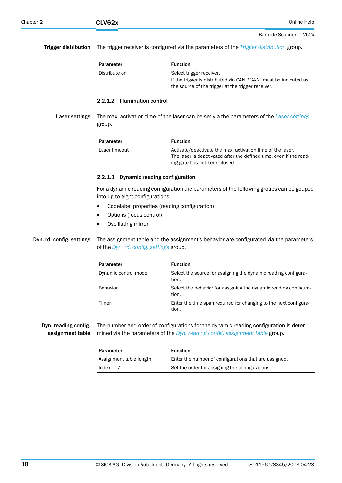Trigger distribution The trigger receiver is configured via the parameters of the *Trigger distribution* group.

| Parameter     | <b>Function</b>                                                                                                                                     |
|---------------|-----------------------------------------------------------------------------------------------------------------------------------------------------|
| Distribute on | Select trigger receiver.<br>If the trigger is distributed via CAN, "CAN" must be indicated as<br>the source of the trigger at the trigger receiver. |

#### <span id="page-9-0"></span>2.2.1.2 Illumination control

Laser settings The max. activation time of the laser can be set via the parameters of the *Laser settings* group.

| l Parameter     | <b>Function</b>                                                                                                                                                   |
|-----------------|-------------------------------------------------------------------------------------------------------------------------------------------------------------------|
| l Laser timeout | Activate/deactivate the max. activation time of the laser.<br>The laser is deactivated after the defined time, even if the read-<br>ing gate has not been closed. |

#### <span id="page-9-1"></span>2.2.1.3 Dynamic reading configuration

For a dynamic reading configuration the parameters of the following groups can be gouped into up to eight configurations.

- ! Codelabel properties (reading configuration)
- Options (focus control)
- **.** Oscillating mirror

Dyn. rd. config. settings The assignment table and the assignment's behavior are configurated via the parameters of the *Dyn. rd. config. settings* group.

| Parameter            | <b>Function</b>                                                           |
|----------------------|---------------------------------------------------------------------------|
| Dynamic control mode | Select the source for assigning the dynamic reading configura-<br>tion.   |
| Behavior             | Select the behavior for assigning the dynamic reading configura-<br>tion. |
| Timer                | Enter the time span required for changing to the next configura-<br>tion. |

Dyn. reading config. assignment table The number and order of configurations for the dynamic reading configuration is determined via the parameters of the *Dyn. reading config. assignment table* group.

| I Parameter             | <b>Function</b>                                       |
|-------------------------|-------------------------------------------------------|
| Assignment table length | Enter the number of configurations that are assigned. |
| Index 0.7               | Set the order for assigning the configurations.       |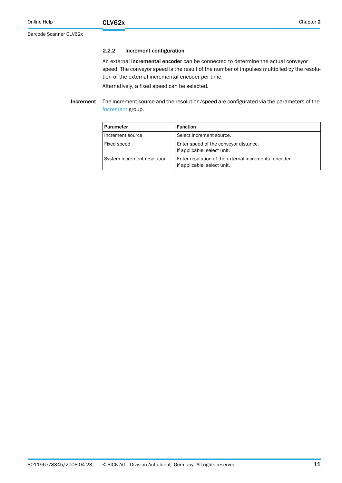## <span id="page-10-0"></span>2.2.2 Increment configuration

An external incremental encoder can be connected to determine the actual conveyor speed. The conveyor speed is the result of the number of impulses multiplied by the resolution of the external incremental encoder per time.

Alternatively, a fixed speed can be selected.

Increment The increment source and the resolution/speed are configurated via the parameters of the *Increment* group.

| Parameter                   | <b>Function</b>                                                                      |
|-----------------------------|--------------------------------------------------------------------------------------|
| Increment source            | Select increment source.                                                             |
| Fixed speed                 | Enter speed of the conveyor distance.<br>If applicable, select unit.                 |
| System increment resolution | Enter resolution of the external incremental encoder.<br>If applicable, select unit. |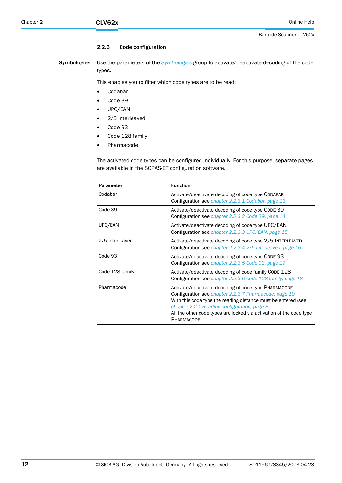## <span id="page-11-0"></span>2.2.3 Code configuration

Symbologies Use the parameters of the *Symbologies* group to activate/deactivate decoding of the code types.

This enables you to filter which code types are to be read:

- Codabar
- $\bullet$  Code 39
- UPC/EAN
- $\bullet$  2/5 Interleaved
- Code 93
- Code 128 family
- Pharmacode

The activated code types can be configured individually. For this purpose, separate pages are available in the SOPAS-ET configuration software.

| Parameter       | <b>Function</b>                                                                                                                                                                                                                                                                                                        |
|-----------------|------------------------------------------------------------------------------------------------------------------------------------------------------------------------------------------------------------------------------------------------------------------------------------------------------------------------|
| Codabar         | Activate/deactivate decoding of code type CODABAR<br>Configuration see chapter 2.2.3.1 Codabar, page 13                                                                                                                                                                                                                |
| Code 39         | Activate/deactivate decoding of code type CODE 39<br><b>Configuration see chapter 2.2.3.2 Code 39, page 14</b>                                                                                                                                                                                                         |
| UPC/EAN         | Activate/deactivate decoding of code type UPC/EAN<br>Configuration see chapter 2.2.3.3 UPC/EAN, page 15                                                                                                                                                                                                                |
| 2/5 Interleaved | Activate/deactivate decoding of code type 2/5 INTERLEAVED<br>Configuration see chapter 2.2.3.4 2/5 Interleaved, page 16                                                                                                                                                                                                |
| Code 93         | Activate/deactivate decoding of code type CODE 93<br>Configuration see chapter 2.2.3.5 Code 93, page 17                                                                                                                                                                                                                |
| Code 128 family | Activate/deactivate decoding of code family CODE 128<br><b>Configuration see chapter 2.2.3.6 Code 128 family, page 18</b>                                                                                                                                                                                              |
| Pharmacode      | Activate/deactivate decoding of code type PHARMACODE.<br>Configuration see chapter 2.2.3.7 Pharmacode, page 19<br>With this code type the reading distance must be entered (see<br>chapter 2.2.1 Reading configuration, page 8).<br>All the other code types are locked via activation of the code type<br>PHARMACODE. |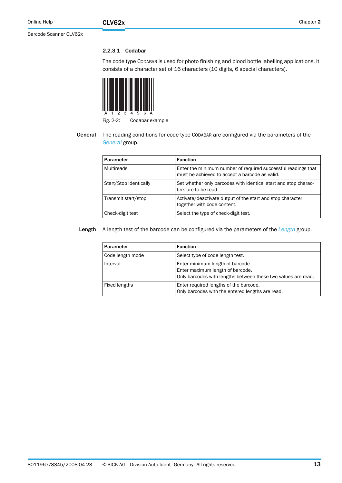## <span id="page-12-0"></span>2.2.3.1 Codabar

The code type CODABAR is used for photo finishing and blood bottle labelling applications. It consists of a character set of 16 characters (10 digits, 6 special characters).



Fig. 2-2: Codabar example

General The reading conditions for code type CODABAR are configured via the parameters of the *General* group.

| Parameter              | <b>Function</b>                                                                                                 |
|------------------------|-----------------------------------------------------------------------------------------------------------------|
| <b>Multireads</b>      | Enter the minimum number of required successful readings that<br>must be achieved to accept a barcode as valid. |
| Start/Stop identically | Set whether only barcodes with identical start and stop charac-<br>ters are to be read.                         |
| Transmit start/stop    | Activate/deactivate output of the start and stop character<br>together with code content.                       |
| Check-digit test       | Select the type of check-digit test.                                                                            |

| Parameter        | <b>Function</b>                                                                                                                       |
|------------------|---------------------------------------------------------------------------------------------------------------------------------------|
| Code length mode | Select type of code length test.                                                                                                      |
| Interval         | Enter minimum length of barcode.<br>Enter maximum length of barcode.<br>Only barcodes with lengths between these two values are read. |
| Fixed lengths    | Enter required lengths of the barcode.<br>Only barcodes with the entered lengths are read.                                            |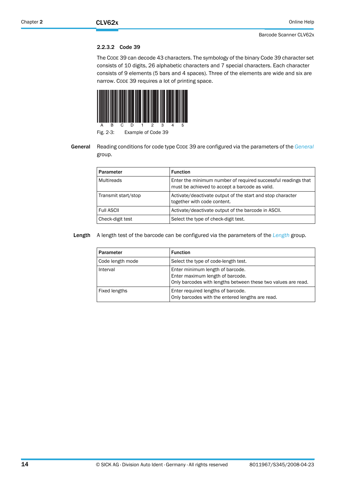## <span id="page-13-0"></span>2.2.3.2 Code 39

The CODE 39 can decode 43 characters. The symbology of the binary Code 39 character set consists of 10 digits, 26 alphabetic characters and 7 special characters. Each character consists of 9 elements (5 bars and 4 spaces). Three of the elements are wide and six are narrow. CODE 39 requires a lot of printing space.



General Reading conditions for code type CODE 39 are configured via the parameters of the *General* group.

| Parameter           | <b>Function</b>                                                                                                 |
|---------------------|-----------------------------------------------------------------------------------------------------------------|
| <b>Multireads</b>   | Enter the minimum number of required successful readings that<br>must be achieved to accept a barcode as valid. |
| Transmit start/stop | Activate/deactivate output of the start and stop character<br>together with code content.                       |
| <b>Full ASCII</b>   | Activate/deactivate output of the barcode in ASCII.                                                             |
| Check-digit test    | Select the type of check-digit test.                                                                            |

| Parameter        | <b>Function</b>                                                                                                                       |
|------------------|---------------------------------------------------------------------------------------------------------------------------------------|
| Code length mode | Select the type of code-length test.                                                                                                  |
| Interval         | Enter minimum length of barcode.<br>Enter maximum length of barcode.<br>Only barcodes with lengths between these two values are read. |
| Fixed lengths    | Enter required lengths of barcode.<br>Only barcodes with the entered lengths are read.                                                |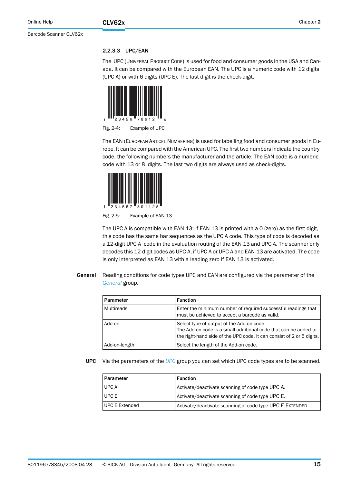## <span id="page-14-0"></span>2.2.3.3 UPC/EAN

The UPC (UNIVERSAL PRODUCT CODE) is used for food and consumer goods in the USA and Canada. It can be compared with the European EAN. The UPC is a numeric code with 12 digits (UPC A) or with 6 digits (UPC E). The last digit is the check-digit.



Fig. 2-4: Example of UPC

The EAN (EUROPEAN ARTICEL NUMBERING) is used for labelling food and consumer goods in Europe. It can be compared with the American UPC. The first two numbers indicate the country code, the following numbers the manufacturer and the article. The EAN code is a numeric code with 13 or 8 digits. The last two digits are always used as check-digits.



Fig. 2-5: Example of EAN 13

The UPC A is compatible with EAN 13: If EAN 13 is printed with a 0 (zero) as the first digit, this code has the same bar sequences as the UPC A code. This type of code is decoded as a 12-digit UPC A code in the evaluation routing of the EAN 13 and UPC A. The scanner only decodes this 12-digit codes as UPC A, if UPC A or UPC A and EAN 13 are activated. The code is only interpreted as EAN 13 with a leading zero if EAN 13 is activated.

General Reading conditions for code types UPC and EAN are configured via the parameter of the *General* group.

| Parameter     | <b>Function</b>                                                                                                                                                                       |
|---------------|---------------------------------------------------------------------------------------------------------------------------------------------------------------------------------------|
| Multireads    | Enter the minimum number of required successful readings that<br>must be achieved to accept a barcode as valid.                                                                       |
| Add-on        | Select type of output of the Add-on code.<br>The Add-on code is a small additional code that can be added to<br>the right-hand side of the UPC code. It can consist of 2 or 5 digits. |
| Add-on-length | Select the length of the Add-on code.                                                                                                                                                 |

UPC Via the parameters of the *UPC* group you can set which UPC code types are to be scanned.

| Parameter        | <b>Function</b>                                           |
|------------------|-----------------------------------------------------------|
| UPC A            | Activate/deactivate scanning of code type UPC A.          |
| UPC E            | Activate/deactivate scanning of code type UPC E.          |
| l UPC E Extended | Activate/deactivate scanning of code type UPC E EXTENDED. |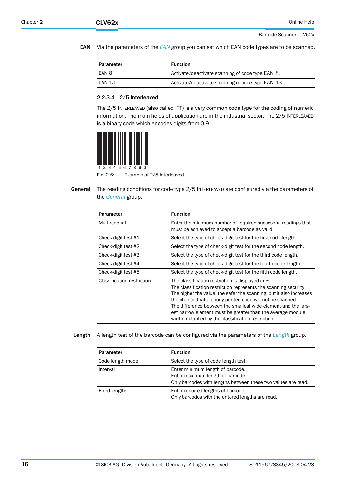EAN Via the parameters of the *EAN* group you can set which EAN code types are to be scanned.

| l Parameter  | <b>Function</b>                                   |
|--------------|---------------------------------------------------|
| <b>EAN 8</b> | Activate/deactivate scanning of code type EAN 8.  |
| EAN 13       | Activate/deactivate scanning of code type EAN 13. |

## <span id="page-15-0"></span>2.2.3.4 2/5 Interleaved

The 2/5 INTERLEAVED (also called ITF) is a very common code type for the coding of numeric information. The main fields of application are in the industrial sector. The 2/5 INTERLEAVED is a binary code which encodes digits from 0-9.



Fig. 2-6: Example of 2/5 Interleaved

General The reading conditions for code type 2/5 INTERLEAVED are configured via the parameters of the *General* group.

| <b>Parameter</b>                  | <b>Function</b>                                                                                                                                                                                                                                                                                                                                                                                                                                   |
|-----------------------------------|---------------------------------------------------------------------------------------------------------------------------------------------------------------------------------------------------------------------------------------------------------------------------------------------------------------------------------------------------------------------------------------------------------------------------------------------------|
| Multiread #1                      | Enter the minimum number of required successful readings that<br>must be achieved to accept a barcode as valid.                                                                                                                                                                                                                                                                                                                                   |
| Check-digit test #1               | Select the type of check-digit test for the first code length.                                                                                                                                                                                                                                                                                                                                                                                    |
| Check-digit test #2               | Select the type of check-digit test for the second code length.                                                                                                                                                                                                                                                                                                                                                                                   |
| Check-digit test #3               | Select the type of check-digit test for the third code length.                                                                                                                                                                                                                                                                                                                                                                                    |
| Check-digit test #4               | Select the type of check-digit test for the fourth code length.                                                                                                                                                                                                                                                                                                                                                                                   |
| Check-digit test #5               | Select the type of check-digit test for the fifth code length.                                                                                                                                                                                                                                                                                                                                                                                    |
| <b>Classification restriction</b> | The classification restriction is displayed in %.<br>The classification restriction represents the scanning security.<br>The higher the value, the safer the scanning; but it also increases<br>the chance that a poorly printed code will not be scanned.<br>The difference between the smallest wide element and the larg-<br>est narrow element must be greater than the average module<br>width multiplied by the classification restriction. |

| Parameter        | <b>Function</b>                                                                                                                       |
|------------------|---------------------------------------------------------------------------------------------------------------------------------------|
| Code length mode | Select the type of code length test.                                                                                                  |
| Interval         | Enter minimum length of barcode.<br>Enter maximum length of barcode.<br>Only barcodes with lengths between these two values are read. |
| Fixed lengths    | Enter required lengths of barcode.<br>Only barcodes with the entered lengths are read.                                                |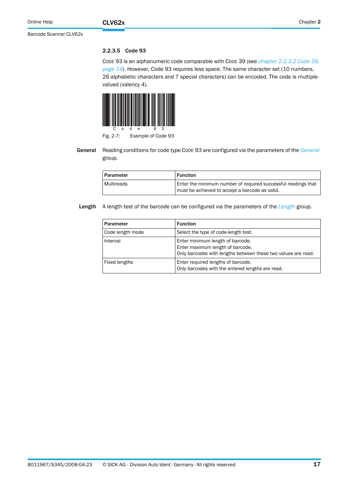#### <span id="page-16-0"></span>2.2.3.5 Code 93

CODE 93 is an alphanumeric code comparable with CODE 39 (see *[chapter 2.2.3.2 Code 39,](#page-13-0)  [page 14](#page-13-0)*). However, Code 93 requires less space. The same character set (10 numbers, 26 alphabetic characters and 7 special characters) can be encoded. The code is multiplevalued (valency 4).



Fig. 2-7: Example of Code 93

General Reading conditions for code type CODE 93 are configured via the parameters of the *General* group.

| I Parameter         | <b>Function</b>                                                                                                 |
|---------------------|-----------------------------------------------------------------------------------------------------------------|
| <b>I</b> Multireads | Enter the minimum number of required successful readings that<br>must be achieved to accept a barcode as valid. |

| Parameter        | <b>Function</b>                                                                                                                       |
|------------------|---------------------------------------------------------------------------------------------------------------------------------------|
| Code length mode | Select the type of code-length test.                                                                                                  |
| Interval         | Enter minimum length of barcode.<br>Enter maximum length of barcode.<br>Only barcodes with lengths between these two values are read. |
| Fixed lengths    | Enter required lengths of barcode.<br>Only barcodes with the entered lengths are read.                                                |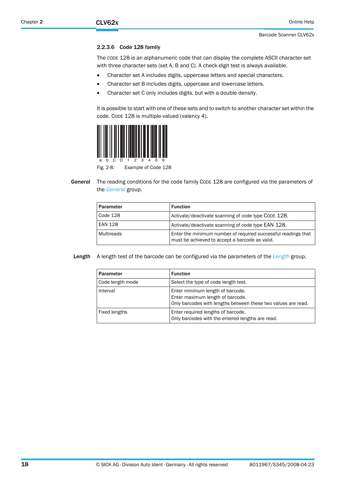## <span id="page-17-0"></span>2.2.3.6 Code 128 family

The CODE 128 is an alphanumeric code that can display the complete ASCII character set with three character sets (set A, B and C). A check-digit test is always available.

- ! Character set A includes digits, uppercase letters and special characters.
- ! Character set B includes digits, uppercase and lowercase letters.
- ! Character set C only includes digits, but with a double density.

It is possible to start with one of these sets and to switch to another character set within the code. CODE 128 is multiple-valued (valency 4).



Fig. 2-8: Example of Code 128

General The reading conditions for the code family CODE 128 are configured via the parameters of the *General* group.

| l Parameter | <b>Function</b>                                                                                                 |
|-------------|-----------------------------------------------------------------------------------------------------------------|
| Code 128    | Activate/deactivate scanning of code type CODE 128.                                                             |
| l EAN 128   | Activate/deactivate scanning of code type EAN 128.                                                              |
| Multireads  | Enter the minimum number of required successful readings that<br>must be achieved to accept a barcode as valid. |

| Parameter        | <b>Function</b>                                                                                                                       |
|------------------|---------------------------------------------------------------------------------------------------------------------------------------|
| Code length mode | Select the type of code length test.                                                                                                  |
| Interval         | Enter minimum length of barcode.<br>Enter maximum length of barcode.<br>Only barcodes with lengths between these two values are read. |
| Fixed lengths    | Enter required lengths of barcode.<br>Only barcodes with the entered lengths are read.                                                |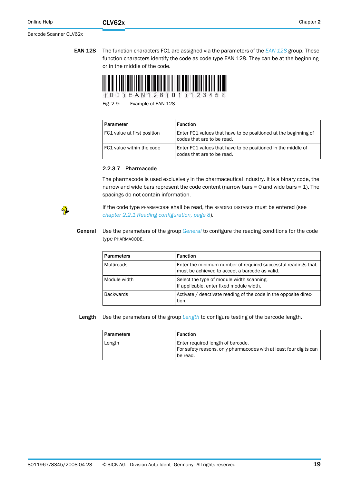EAN 128 The function characters FC1 are assigned via the parameters of the *EAN 128* group. These function characters identify the code as code type EAN 128. They can be at the beginning or in the middle of the code.



 $123456$  $(00) EAN128(01)$ 

Fig. 2-9: Example of EAN 128

| Parameter                   | <b>Function</b>                                                                               |
|-----------------------------|-----------------------------------------------------------------------------------------------|
| FC1 value at first position | Enter FC1 values that have to be positioned at the beginning of<br>codes that are to be read. |
| FC1 value within the code   | Enter FC1 values that have to be positioned in the middle of<br>codes that are to be read.    |

## <span id="page-18-0"></span>2.2.3.7 Pharmacode

The pharmacode is used exclusively in the pharmaceutical industry. It is a binary code, the narrow and wide bars represent the code content (narrow bars  $= 0$  and wide bars  $= 1$ ). The spacings do not contain information.

If the code type PHARMACODE shall be read, the READING DISTANCE must be entered (see *[chapter 2.2.1 Reading configuration, page 8](#page-7-1)*).

General Use the parameters of the group *General* to configure the reading conditions for the code type PHARMACODE.

| <b>Parameters</b> | <b>Function</b>                                                                                                 |
|-------------------|-----------------------------------------------------------------------------------------------------------------|
| <b>Multireads</b> | Enter the minimum number of required successful readings that<br>must be achieved to accept a barcode as valid. |
| Module width      | Select the type of module width scanning.<br>If applicable, enter fixed module width.                           |
| <b>Backwards</b>  | Activate / deactivate reading of the code in the opposite direc-<br>tion.                                       |

Length Use the parameters of the group *Length* to configure testing of the barcode length.

| <b>Parameters</b> | <b>Function</b>                                                                                                     |
|-------------------|---------------------------------------------------------------------------------------------------------------------|
| Length            | Enter required length of barcode.<br>For safety reasons, only pharmacodes with at least four digits can<br>be read. |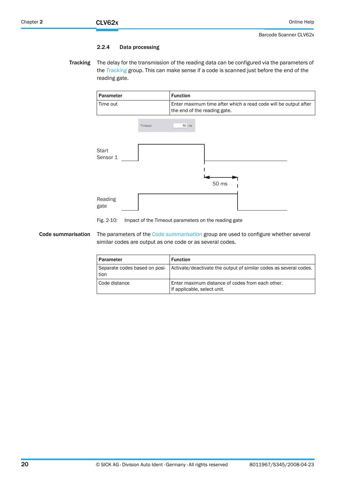## <span id="page-19-0"></span>2.2.4 Data processing

Tracking The delay for the transmission of the reading data can be configured via the parameters of the *Tracking* group. This can make sense if a code is scanned just before the end of the reading gate.



Fig. 2-10: Impact of the Timeout parameters on the reading gate

Code summarisation The parameters of the *Code summarisation* group are used to configure whether several similar codes are output as one code or as several codes.

| Parameter                             | <b>Function</b>                                                                 |
|---------------------------------------|---------------------------------------------------------------------------------|
| Separate codes based on posi-<br>tion | Activate/deactivate the output of similar codes as several codes.               |
| Code distance                         | Enter maximum distance of codes from each other.<br>If applicable, select unit. |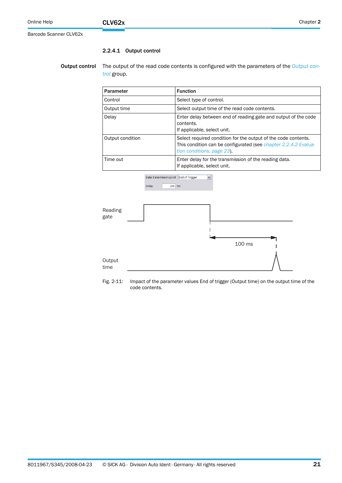## <span id="page-20-0"></span>2.2.4.1 Output control

Output control The output of the read code contents is configured with the parameters of the *Output control* group.

| Parameter        | <b>Function</b>                                                                                                                                                 |
|------------------|-----------------------------------------------------------------------------------------------------------------------------------------------------------------|
| Control          | Select type of control.                                                                                                                                         |
| Output time      | Select output time of the read code contents.                                                                                                                   |
| Delay            | Enter delay between end of reading gate and output of the code<br>contents.<br>If applicable, select unit.                                                      |
| Output condition | Select required condition for the output of the code contents.<br>This condition can be configurated (see chapter 2.2.4.2 Evalua-<br>tion conditions, page 23). |
| Time out         | Enter delay for the transmission of the reading data.<br>If applicable, select unit.                                                                            |

 $\vert \mathbf{v} \vert$ 



Data transmission point End of Trigger

Fig. 2-11: Impact of the parameter values End of trigger (Output time) on the output time of the code contents.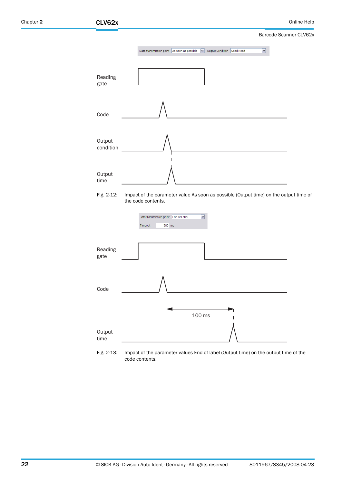

Fig. 2-12: Impact of the parameter value As soon as possible (Output time) on the output time of the code contents.



Fig. 2-13: Impact of the parameter values End of label (Output time) on the output time of the code contents.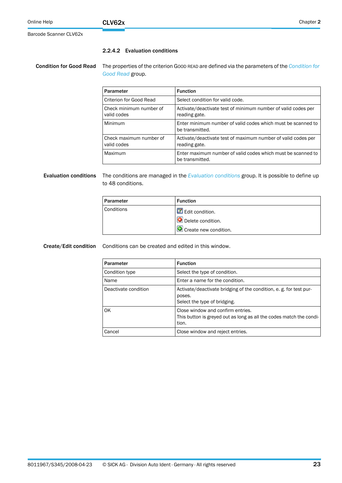## <span id="page-22-0"></span>2.2.4.2 Evaluation conditions

Condition for Good Read The properties of the criterion GOOD READ are defined via the parameters of the *Condition for Good Read* group.

| Parameter                              | <b>Function</b>                                                                 |
|----------------------------------------|---------------------------------------------------------------------------------|
| <b>Criterion for Good Read</b>         | Select condition for valid code.                                                |
| Check minimum number of<br>valid codes | Activate/deactivate test of minimum number of valid codes per<br>reading gate.  |
| Minimum                                | Enter minimum number of valid codes which must be scanned to<br>be transmitted. |
| Check maximum number of<br>valid codes | Activate/deactivate test of maximum number of valid codes per<br>reading gate.  |
| Maximum                                | Enter maximum number of valid codes which must be scanned to<br>be transmitted. |

## Evaluation conditions The conditions are managed in the *Evaluation conditions* group. It is possible to define up to 48 conditions.

| Parameter  | <b>Function</b>          |
|------------|--------------------------|
| Conditions | <b>D</b> Edit condition. |
|            | Delete condition.        |
|            | Create new condition.    |

Create/Edit condition Conditions can be created and edited in this window.

| Parameter            | <b>Function</b>                                                                                                   |
|----------------------|-------------------------------------------------------------------------------------------------------------------|
| Condition type       | Select the type of condition.                                                                                     |
| Name                 | Enter a name for the condition.                                                                                   |
| Deactivate condition | Activate/deactivate bridging of the condition, e. g. for test pur-<br>poses.<br>Select the type of bridging.      |
| <b>OK</b>            | Close window and confirm entries.<br>This button is greyed out as long as all the codes match the condi-<br>tion. |
| Cancel               | Close window and reject entries.                                                                                  |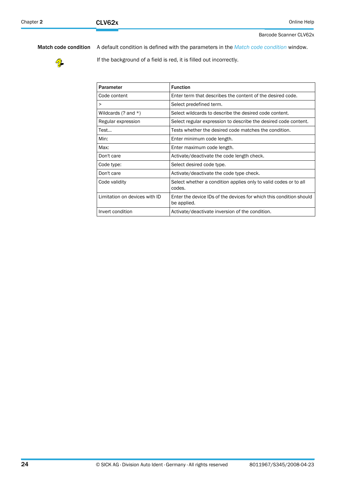Match code condition A default condition is defined with the parameters in the *Match code condition* window.



If the background of a field is red, it is filled out incorrectly.

| Parameter                     | <b>Function</b>                                                                    |
|-------------------------------|------------------------------------------------------------------------------------|
| Code content                  | Enter term that describes the content of the desired code.                         |
| $\geq$                        | Select predefined term.                                                            |
| Wildcards $(?$ and $*)$       | Select wildcards to describe the desired code content.                             |
| Regular expression            | Select regular expression to describe the desired code content.                    |
| Test                          | Tests whether the desired code matches the condition.                              |
| Min:                          | Enter minimum code length.                                                         |
| Max:                          | Enter maximum code length.                                                         |
| Don't care                    | Activate/deactivate the code length check.                                         |
| Code type:                    | Select desired code type.                                                          |
| Don't care                    | Activate/deactivate the code type check.                                           |
| Code validity                 | Select whether a condition applies only to valid codes or to all<br>codes.         |
| Limitation on devices with ID | Enter the device IDs of the devices for which this condition should<br>be applied. |
| Invert condition              | Activate/deactivate inversion of the condition.                                    |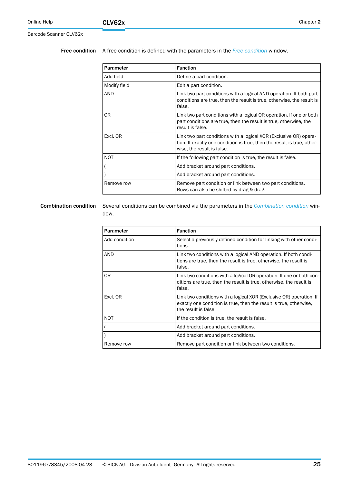## Free condition A free condition is defined with the parameters in the *Free condition* window.

| <b>Parameter</b> | <b>Function</b>                                                                                                                                                            |
|------------------|----------------------------------------------------------------------------------------------------------------------------------------------------------------------------|
| Add field        | Define a part condition.                                                                                                                                                   |
| Modify field     | Edit a part condition.                                                                                                                                                     |
| <b>AND</b>       | Link two part conditions with a logical AND operation. If both part<br>conditions are true, then the result is true, otherwise, the result is<br>false.                    |
| 0R               | Link two part conditions with a logical OR operation. If one or both<br>part conditions are true, then the result is true, otherwise, the<br>result is false.              |
| Excl. OR         | Link two part conditions with a logical XOR (Exclusive OR) opera-<br>tion. If exactly one condition is true, then the result is true, other-<br>wise, the result is false. |
| <b>NOT</b>       | If the following part condition is true, the result is false.                                                                                                              |
|                  | Add bracket around part conditions.                                                                                                                                        |
|                  | Add bracket around part conditions.                                                                                                                                        |
| Remove row       | Remove part condition or link between two part conditions.<br>Rows can also be shifted by drag & drag.                                                                     |

Combination condition Several conditions can be combined via the parameters in the *Combination condition* window.

| <b>Parameter</b> | <b>Function</b>                                                                                                                                                   |
|------------------|-------------------------------------------------------------------------------------------------------------------------------------------------------------------|
| Add condition    | Select a previously defined condition for linking with other condi-<br>tions.                                                                                     |
| <b>AND</b>       | Link two conditions with a logical AND operation. If both condi-<br>tions are true, then the result is true, otherwise, the result is<br>false.                   |
| 0R               | Link two conditions with a logical OR operation. If one or both con-<br>ditions are true, then the result is true, otherwise, the result is<br>false.             |
| Excl. OR         | Link two conditions with a logical XOR (Exclusive OR) operation. If<br>exactly one condition is true, then the result is true, otherwise,<br>the result is false. |
| <b>NOT</b>       | If the condition is true, the result is false.                                                                                                                    |
|                  | Add bracket around part conditions.                                                                                                                               |
|                  | Add bracket around part conditions.                                                                                                                               |
| Remove row       | Remove part condition or link between two conditions.                                                                                                             |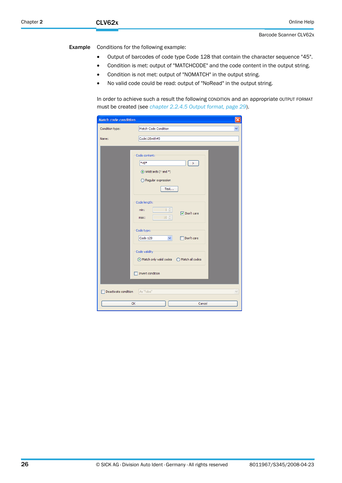Example Conditions for the following example:

- ! Output of barcodes of code type Code 128 that contain the character sequence "45".
- Condition is met: output of "MATCHCODE" and the code content in the output string.
- Condition is not met: output of "NOMATCH" in the output string.
- ! No valid code could be read: output of "NoRead" in the output string.

In order to achieve such a result the following CONDITION and an appropriate OUTPUT FORMAT must be created (see *[chapter 2.2.4.5 Output format, page 29](#page-28-0)*).

| Condition type:<br>Match-Code Condition<br>Code128with45<br>Name:<br>Code content:<br>*45*<br>$\,>$<br>(a) Wildcards (? and *)<br>◯ Regular expression<br>Test<br>Code length:<br>$1 \hat{ }$<br>min:<br>O Don't care<br>$10^{\circ}$<br>max: |
|-----------------------------------------------------------------------------------------------------------------------------------------------------------------------------------------------------------------------------------------------|
|                                                                                                                                                                                                                                               |
|                                                                                                                                                                                                                                               |
| Code type:<br>Code 128<br>$\blacktriangledown$<br>Don't care<br>Code validity<br>Invert condition                                                                                                                                             |
| As "false"<br>Deactivate condition<br>$\vee$                                                                                                                                                                                                  |
| ОК<br>Cancel                                                                                                                                                                                                                                  |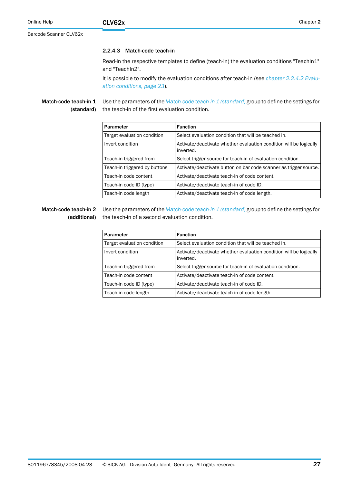## <span id="page-26-0"></span>2.2.4.3 Match-code teach-in

Read-in the respective templates to define (teach-in) the evaluation conditions "TeachIn1" and "TeachIn2".

It is possible to modify the evaluation conditions after teach-in (see *[chapter 2.2.4.2 Evalu](#page-22-0)[ation conditions, page 23](#page-22-0)*).

Match-code teach-in 1 (standard) Use the parameters of the *Match-code teach-in 1 (standard)* group to define the settings for the teach-in of the first evaluation condition.

| Parameter                     | <b>Function</b>                                                                 |
|-------------------------------|---------------------------------------------------------------------------------|
| Target evaluation condition   | Select evaluation condition that will be teached in.                            |
| Invert condition              | Activate/deactivate whether evaluation condition will be logically<br>inverted. |
| Teach-in triggered from       | Select trigger source for teach-in of evaluation condition.                     |
| Teach-in triggered by buttons | Activate/deactivate button on bar code scanner as trigger source.               |
| Teach-in code content         | Activate/deactivate teach-in of code content.                                   |
| Teach-in code ID (type)       | Activate/deactivate teach-in of code ID.                                        |
| Teach-in code length          | Activate/deactivate teach-in of code length.                                    |

Match-code teach-in 2 Use the parameters of the *Match-code teach-in 1 (standard)* group to define the settings for (additional) the teach-in of a second evaluation condition.

| Parameter                   | <b>Function</b>                                                                 |
|-----------------------------|---------------------------------------------------------------------------------|
| Target evaluation condition | Select evaluation condition that will be teached in.                            |
| Invert condition            | Activate/deactivate whether evaluation condition will be logically<br>inverted. |
| Teach-in triggered from     | Select trigger source for teach-in of evaluation condition.                     |
| Teach-in code content       | Activate/deactivate teach-in of code content.                                   |
| Teach-in code ID (type)     | Activate/deactivate teach-in of code ID.                                        |
| Teach-in code length        | Activate/deactivate teach-in of code length.                                    |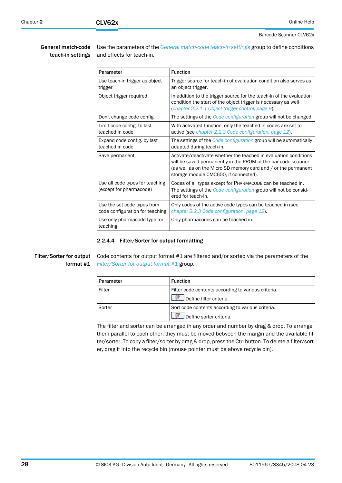teach-in settings

General match-code Use the parameters of the *General match-code teach-in settings* group to define conditions and effects for teach-in.

| Parameter                                                      | <b>Function</b>                                                                                                                                                                                                                              |
|----------------------------------------------------------------|----------------------------------------------------------------------------------------------------------------------------------------------------------------------------------------------------------------------------------------------|
| Use teach-in trigger as object<br>trigger                      | Trigger source for teach-in of evaluation condition also serves as<br>an object trigger.                                                                                                                                                     |
| Object trigger required                                        | In addition to the trigger source for the teach-in of the evaluation<br>condition the start of the object trigger is necessary as well<br>(chapter 2.2.1.1 Object trigger control, page 9).                                                  |
| Don't change code config.                                      | The settings of the <i>Code configuration</i> group will not be changed.                                                                                                                                                                     |
| Limit code config. to last<br>teached in code                  | With activated function, only the teached in codes are set to<br>active (see chapter 2.2.3 Code configuration, page 12).                                                                                                                     |
| Expand code config. by last<br>teached in code                 | The settings of the <i>Code configuration</i> group will be automatically<br>adapted during teach-in.                                                                                                                                        |
| Save permanent                                                 | Activate/deactivate whether the teached in evaluation conditions<br>will be saved permanently in the PROM of the bar code scanner<br>(as well as on the Micro SD memory card and / or the permanent<br>storage module CMC600, if connected). |
| Use all code types for teaching<br>(except for pharmacode)     | Codes of all types except for PHARMACODE can be teached in.<br>The settings of the <i>Code configuration</i> group will not be consid-<br>ered for teach-in.                                                                                 |
| Use the set code types from<br>code configuration for teaching | Only codes of the active code types can be teached in (see<br>chapter 2.2.3 Code configuration, page 12).                                                                                                                                    |
| Use only pharmacode type for<br>teaching                       | Only pharmacodes can be teached in.                                                                                                                                                                                                          |

#### <span id="page-27-0"></span>2.2.4.4 Filter/Sorter for output formatting

Filter/Sorter for output Code contents for output format #1 are filtered and/or sorted via the parameters of the format #1 *Filter/Sorter for output format #1* group.

| Parameter | <b>Function</b>                                     |
|-----------|-----------------------------------------------------|
| Filter    | Filter code contents according to various criteria. |
|           | Define filter criteria.                             |
| Sorter    | Sort code contents according to various criteria.   |
|           | Define sorter criteria.                             |

The filter and sorter can be arranged in any order and number by drag & drop. To arrange them parallel to each other, they must be moved between the margin and the available filter/sorter. To copy a filter/sorter by drag & drop, press the Ctrl button. To delete a filter/sorter, drag it into the recycle bin (mouse pointer must be above recycle bin).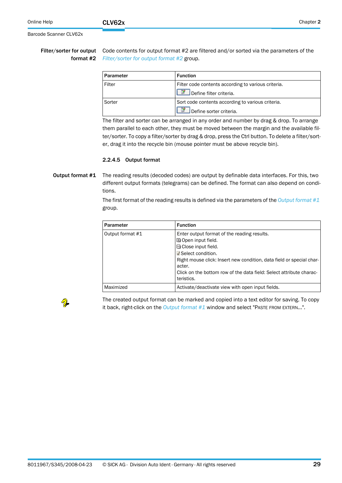Filter/sorter for output Code contents for output format #2 are filtered and/or sorted via the parameters of the format #2 *Filter/sorter for output format #2* group.

| Parameter | <b>Function</b>                                     |
|-----------|-----------------------------------------------------|
| Filter    | Filter code contents according to various criteria. |
|           | G<br>Define filter criteria.                        |
| Sorter    | Sort code contents according to various criteria.   |
|           | Define sorter criteria.                             |

The filter and sorter can be arranged in any order and number by drag & drop. To arrange them parallel to each other, they must be moved between the margin and the available filter/sorter. To copy a filter/sorter by drag & drop, press the Ctrl button. To delete a filter/sorter, drag it into the recycle bin (mouse pointer must be above recycle bin).

## <span id="page-28-0"></span>2.2.4.5 Output format

Output format #1 The reading results (decoded codes) are output by definable data interfaces. For this, two different output formats (telegrams) can be defined. The format can also depend on conditions.

> The first format of the reading results is defined via the parameters of the *Output format #1* group.

| Parameter        | <b>Function</b>                                                                                                                                                                                                                                                                          |
|------------------|------------------------------------------------------------------------------------------------------------------------------------------------------------------------------------------------------------------------------------------------------------------------------------------|
| Output format #1 | Enter output format of the reading results.<br>田 Open input field.<br>日 Close input field.<br>√ Select condition.<br>Right mouse click: Insert new condition, data field or special char-<br>acter.<br>Click on the bottom row of the data field: Select attribute charac-<br>teristics. |
| Maximized        | Activate/deactivate view with open input fields.                                                                                                                                                                                                                                         |



The created output format can be marked and copied into a text editor for saving. To copy it back, right-click on the *Output format #1* window and select "PASTE FROM EXTERN...".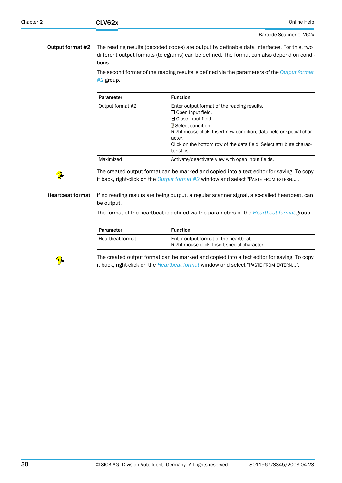Output format #2 The reading results (decoded codes) are output by definable data interfaces. For this, two different output formats (telegrams) can be defined. The format can also depend on conditions.

> The second format of the reading results is defined via the parameters of the *Output format #2* group.

| <b>Parameter</b> | <b>Function</b>                                                                                                                                                                                                                                                                          |
|------------------|------------------------------------------------------------------------------------------------------------------------------------------------------------------------------------------------------------------------------------------------------------------------------------------|
| Output format #2 | Enter output format of the reading results.<br>凹 Open input field.<br>日 Close input field.<br>√ Select condition.<br>Right mouse click: Insert new condition, data field or special char-<br>acter.<br>Click on the bottom row of the data field: Select attribute charac-<br>teristics. |
| Maximized        | Activate/deactivate view with open input fields.                                                                                                                                                                                                                                         |



The created output format can be marked and copied into a text editor for saving. To copy it back, right-click on the *Output format #2* window and select "PASTE FROM EXTERN...".

Heartbeat format If no reading results are being output, a regular scanner signal, a so-called heartbeat, can be output.

The format of the heartbeat is defined via the parameters of the *Heartbeat format* group.

| <b>Parameter</b> | <b>Function</b>                                                                       |
|------------------|---------------------------------------------------------------------------------------|
| Heartbeat format | Enter output format of the heartbeat.<br>Right mouse click: Insert special character. |



The created output format can be marked and copied into a text editor for saving. To copy it back, right-click on the *Heartbeat format* window and select "PASTE FROM EXTERN...".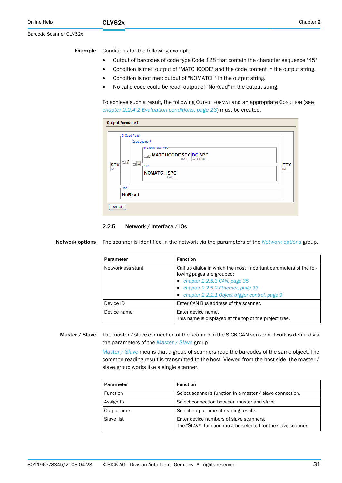Example Conditions for the following example:

- ! Output of barcodes of code type Code 128 that contain the character sequence "45".
- Condition is met: output of "MATCHCODE" and the code content in the output string.
- Condition is not met: output of "NOMATCH" in the output string.
- ! No valid code could be read: output of "NoRead" in the output string.

To achieve such a result, the following OUTPUT FORMAT and an appropriate CONDITION (see *[chapter 2.2.4.2 Evaluation conditions, page 23](#page-22-0)*) must be created.

| <b>Output Format #1</b> |        |                                                                  |                                                                                    |                   |
|-------------------------|--------|------------------------------------------------------------------|------------------------------------------------------------------------------------|-------------------|
| <b>STX</b><br>0x2       | ⊡√     | -If Good Read-<br>-Code segment-<br>日…<br>$rE$ <sub>se</sub> $-$ | -If Code128with45-<br><b>EMPRITTE CODE SPC BC SPC</b><br><b>NOMATCHSPC</b><br>0x20 | <b>ETX</b><br>0x3 |
|                         | -Else- | <b>NoRead</b>                                                    |                                                                                    |                   |
| Accept                  |        |                                                                  |                                                                                    |                   |

#### <span id="page-30-0"></span>2.2.5 Network / Interface / IOs

Network options The scanner is identified in the network via the parameters of the *Network options* group.

| Parameter         | <b>Function</b>                                                                                                                                                                                                                   |
|-------------------|-----------------------------------------------------------------------------------------------------------------------------------------------------------------------------------------------------------------------------------|
| Network assistant | Call up dialog in which the most important parameters of the fol-<br>lowing pages are grouped:<br>$\bullet$ chapter 2.2.5.3 CAN, page 35<br>chapter 2.2.5.2 Ethernet, page 33<br>• chapter 2.2.1.1 Object trigger control, page 9 |
| Device ID         | Enter CAN Bus address of the scanner.                                                                                                                                                                                             |
| Device name       | Enter device name.<br>This name is displayed at the top of the project tree.                                                                                                                                                      |

Master / Slave The master / slave connection of the scanner in the SICK CAN sensor network is defined via the parameters of the *Master / Slave* group.

> *Master / Slave* means that a group of scanners read the barcodes of the same object. The common reading result is transmitted to the host. Viewed from the host side, the master / slave group works like a single scanner.

| Parameter       | <b>Function</b>                                                                                         |
|-----------------|---------------------------------------------------------------------------------------------------------|
| <b>Function</b> | Select scanner's function in a master / slave connection.                                               |
| Assign to       | Select connection between master and slave.                                                             |
| Output time     | Select output time of reading results.                                                                  |
| Slave list      | Enter device numbers of slave scanners.<br>The "SLAVE" function must be selected for the slave scanner. |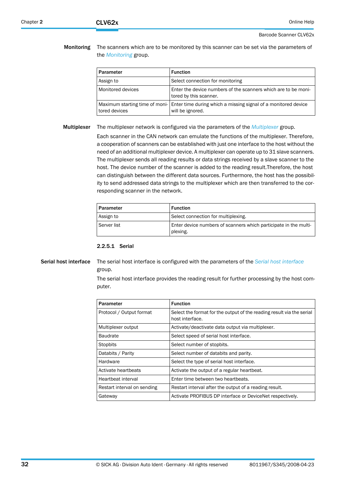Monitoring The scanners which are to be monitored by this scanner can be set via the parameters of the *Monitoring* group.

| Parameter         | <b>Function</b>                                                                                                   |
|-------------------|-------------------------------------------------------------------------------------------------------------------|
| Assign to         | Select connection for monitoring                                                                                  |
| Monitored devices | Enter the device numbers of the scanners which are to be moni-<br>tored by this scanner.                          |
| tored devices     | Maximum starting time of moni- Enter time during which a missing signal of a monitored device<br>will be ignored. |

Multiplexer The multiplexer network is configured via the parameters of the *Multiplexer* group.

Each scanner in the CAN network can emulate the functions of the multiplexer. Therefore, a cooperation of scanners can be established with just one interface to the host without the need of an additional multiplexer device. A multiplexer can operate up to 31 slave scanners. The multiplexer sends all reading results or data strings received by a slave scanner to the host. The device number of the scanner is added to the reading result.Therefore, the host can distinguish between the different data sources. Furthermore, the host has the possibility to send addressed data strings to the multiplexer which are then transferred to the corresponding scanner in the network.

| Parameter   | <b>Function</b>                                                              |
|-------------|------------------------------------------------------------------------------|
| Assign to   | Select connection for multiplexing.                                          |
| Server list | Enter device numbers of scanners which participate in the multi-<br>plexing. |

#### <span id="page-31-0"></span>2.2.5.1 Serial

Serial host interface The serial host interface is configured with the parameters of the *Serial host interface* group.

> The serial host interface provides the reading result for further processing by the host computer.

| Parameter                   | <b>Function</b>                                                                          |
|-----------------------------|------------------------------------------------------------------------------------------|
| Protocol / Output format    | Select the format for the output of the reading result via the serial<br>host interface. |
| Multiplexer output          | Activate/deactivate data output via multiplexer.                                         |
| <b>Baudrate</b>             | Select speed of serial host interface.                                                   |
| <b>Stopbits</b>             | Select number of stopbits.                                                               |
| Databits / Parity           | Select number of databits and parity.                                                    |
| Hardware                    | Select the type of serial host interface.                                                |
| Activate heartbeats         | Activate the output of a regular heartbeat.                                              |
| Heartbeat interval          | Enter time between two heartbeats.                                                       |
| Restart interval on sending | Restart interval after the output of a reading result.                                   |
| Gateway                     | Activate PROFIBUS DP interface or DeviceNet respectively.                                |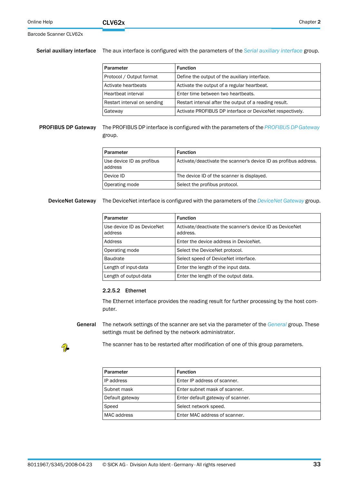Q.

Serial auxiliary interface The aux interface is configured with the parameters of the *Serial auxiliary interface* group.

| Parameter                   | <b>Function</b>                                           |
|-----------------------------|-----------------------------------------------------------|
| Protocol / Output format    | Define the output of the auxiliary interface.             |
| Activate heartbeats         | Activate the output of a regular heartbeat.               |
| Heartbeat interval          | Enter time between two heartbeats.                        |
| Restart interval on sending | Restart interval after the output of a reading result.    |
| Gateway                     | Activate PROFIBUS DP interface or DeviceNet respectively. |

## PROFIBUS DP Gateway The PROFIBUS DP interface is configured with the parameters of the *PROFIBUS DP Gateway* group.

| Parameter                            | <b>Function</b>                                                  |
|--------------------------------------|------------------------------------------------------------------|
| Use device ID as profibus<br>address | Activate/deactivate the scanner's device ID as profibus address. |
| Device ID                            | The device ID of the scanner is displayed.                       |
| Operating mode                       | Select the profibus protocol.                                    |

DeviceNet Gateway The DeviceNet interface is configured with the parameters of the *DeviceNet Gateway* group.

| Parameter                             | <b>Function</b>                                                      |
|---------------------------------------|----------------------------------------------------------------------|
| Use device ID as DeviceNet<br>address | Activate/deactivate the scanner's device ID as DeviceNet<br>address. |
| Address                               | Enter the device address in DeviceNet.                               |
| Operating mode                        | Select the DeviceNet protocol.                                       |
| <b>Baudrate</b>                       | Select speed of DeviceNet interface.                                 |
| Length of input-data                  | Enter the length of the input data.                                  |
| Length of output-data                 | Enter the length of the output data.                                 |

## <span id="page-32-0"></span>2.2.5.2 Ethernet

The Ethernet interface provides the reading result for further processing by the host computer.

General The network settings of the scanner are set via the parameter of the *General* group. These settings must be defined by the network administrator.

The scanner has to be restarted after modification of one of this group parameters.

| Parameter       | <b>Function</b>                   |
|-----------------|-----------------------------------|
| IP address      | Enter IP address of scanner.      |
| Subnet mask     | Enter subnet mask of scanner.     |
| Default gateway | Enter default gateway of scanner. |
| Speed           | Select network speed.             |
| MAC address     | Enter MAC address of scanner.     |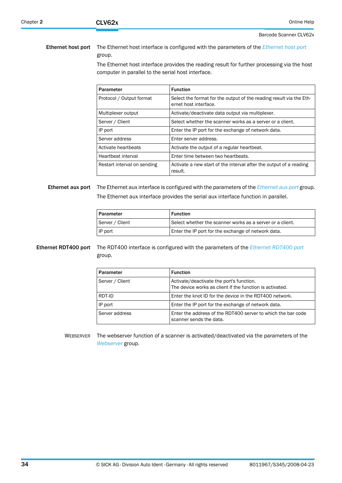Ethernet host port The Ethernet host interface is configured with the parameters of the *Ethernet host port* group.

> The Ethernet host interface provides the reading result for further processing via the host computer in parallel to the serial host interface.

| Parameter                   | <b>Function</b>                                                                              |
|-----------------------------|----------------------------------------------------------------------------------------------|
| Protocol / Output format    | Select the format for the output of the reading result via the Eth-<br>ernet host interface. |
| Multiplexer output          | Activate/deactivate data output via multiplexer.                                             |
| Server / Client             | Select whether the scanner works as a server or a client.                                    |
| IP port                     | Enter the IP port for the exchange of network data.                                          |
| Server address              | Enter server address.                                                                        |
| Activate heartbeats         | Activate the output of a regular heartbeat.                                                  |
| Heartbeat interval          | Enter time between two heartbeats.                                                           |
| Restart interval on sending | Activate a new start of the interval after the output of a reading<br>result.                |

Ethernet aux port The Ethernet aux interface is configured with the parameters of the *Ethernet aux port* group. The Ethernet aux interface provides the serial aux interface function in parallel.

| Parameter       | <b>Function</b>                                           |
|-----------------|-----------------------------------------------------------|
| Server / Client | Select whether the scanner works as a server or a client. |
| IP port         | Enter the IP port for the exchange of network data.       |

Ethernet RDT400 port The RDT400 interface is configured with the parameters of the *Ethernet RDT400 port* group.

| Parameter       | <b>Function</b>                                                                                      |
|-----------------|------------------------------------------------------------------------------------------------------|
| Server / Client | Activate/deactivate the port's function.<br>The device works as client if the function is activated. |
| RDT-ID          | Enter the knot ID for the device in the RDT400 network.                                              |
| IP port         | Enter the IP port for the exchange of network data.                                                  |
| Server address  | Enter the address of the RDT400 server to which the bar code<br>scanner sends the data.              |

WEBSERVER The webserver function of a scanner is activated/deactivated via the parameters of the *Webserver* group.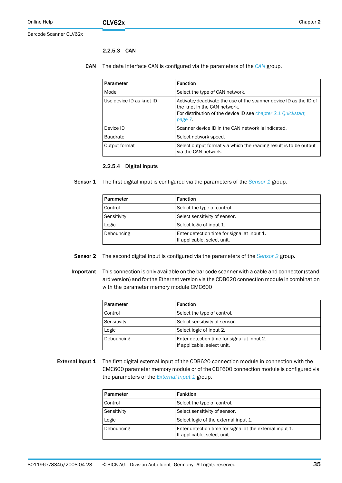#### <span id="page-34-0"></span>2.2.5.3 CAN

CAN The data interface CAN is configured via the parameters of the *CAN* group.

| Parameter                | <b>Function</b>                                                                                                                                                               |
|--------------------------|-------------------------------------------------------------------------------------------------------------------------------------------------------------------------------|
| Mode                     | Select the type of CAN network.                                                                                                                                               |
| Use device ID as knot ID | Activate/deactivate the use of the scanner device ID as the ID of<br>the knot in the CAN network.<br>For distribution of the device ID see chapter 2.1 Ouickstart,<br>page 7. |
| Device ID                | Scanner device ID in the CAN network is indicated.                                                                                                                            |
| <b>Baudrate</b>          | Select network speed.                                                                                                                                                         |
| Output format            | Select output format via which the reading result is to be output<br>via the CAN network.                                                                                     |

#### <span id="page-34-1"></span>2.2.5.4 Digital inputs

Sensor 1 The first digital input is configured via the parameters of the *Sensor 1* group.

| Parameter   | <b>Function</b>                                                            |
|-------------|----------------------------------------------------------------------------|
| Control     | Select the type of control.                                                |
| Sensitivity | Select sensitivity of sensor.                                              |
| Logic       | Select logic of input 1.                                                   |
| Debouncing  | Enter detection time for signal at input 1.<br>If applicable, select unit. |

- Sensor 2 The second digital input is configured via the parameters of the *Sensor 2* group.
- Important This connection is only available on the bar code scanner with a cable and connector (standard version) and for the Ethernet version via the CDB620 connection module in combination with the parameter memory module CMC600

| Parameter   | <b>Function</b>                                                            |
|-------------|----------------------------------------------------------------------------|
| Control     | Select the type of control.                                                |
| Sensitivity | Select sensitivity of sensor.                                              |
| Logic       | Select logic of input 2.                                                   |
| Debouncing  | Enter detection time for signal at input 2.<br>If applicable, select unit. |

External Input 1 The first digital external input of the CDB620 connection module in connection with the CMC600 parameter memory module or of the CDF600 connection module is configured via the parameters of the *External Input 1* group.

| Parameter   | <b>Funktion</b>                                                                         |
|-------------|-----------------------------------------------------------------------------------------|
| Control     | Select the type of control.                                                             |
| Sensitivity | Select sensitivity of sensor.                                                           |
| Logic       | Select logic of the external input 1.                                                   |
| Debouncing  | Enter detection time for signal at the external input 1.<br>If applicable, select unit. |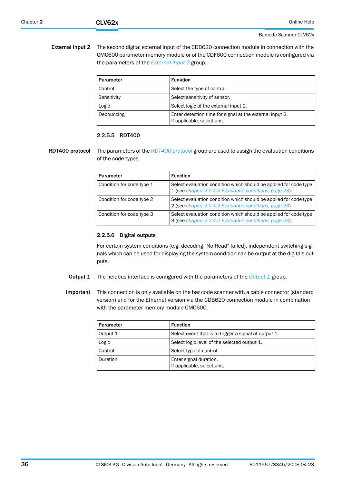External Input 2 The second digital external input of the CDB620 connection module in connection with the CMC600 parameter memory module or of the CDF600 connection module is configured via the parameters of the *External Input 2* group.

| Parameter   | <b>Funktion</b>                                                                         |
|-------------|-----------------------------------------------------------------------------------------|
| Control     | Select the type of control.                                                             |
| Sensitivity | Select sensitivity of sensor.                                                           |
| Logic       | Select logic of the external input 2.                                                   |
| Debouncing  | Enter detection time for signal at the external input 2.<br>If applicable, select unit. |

## <span id="page-35-0"></span>2.2.5.5 RDT400

RDT400 protocol The parameters of the *RDT400 protocol* group are used to assign the evaluation conditions of the code types.

| Parameter                 | <b>Function</b>                                                                                                              |
|---------------------------|------------------------------------------------------------------------------------------------------------------------------|
| Condition for code type 1 | Select evaluation condition which should be applied for code type<br>1 (see chapter 2.2.4.2 Evaluation conditions, page 23). |
| Condition for code type 2 | Select evaluation condition which should be applied for code type<br>2 (see chapter 2.2.4.2 Evaluation conditions, page 23). |
| Condition for code type 3 | Select evaluation condition which should be applied for code type<br>3 (see chapter 2.2.4.2 Evaluation conditions, page 23). |

## <span id="page-35-1"></span>2.2.5.6 Digital outputs

For certain system conditions (e.g. decoding "No Read" failed), independent switching signals which can be used for displaying the system condition can be output at the digitals outputs.

- Output 1 The fieldbus interface is configured with the parameters of the *Output 1* group.
- Important This connection is only available on the bar code scanner with a cable connector (standard version) and for the Ethernet version via the CDB620 connection module in combination with the parameter memory module CMC600.

| <b>Parameter</b> | <b>Function</b>                                       |
|------------------|-------------------------------------------------------|
| Output 1         | Select event that is to trigger a signal at output 1. |
| Logic            | Select logic level of the selected output 1.          |
| Control          | Select type of control.                               |
| Duration         | Enter signal duration.<br>If applicable, select unit. |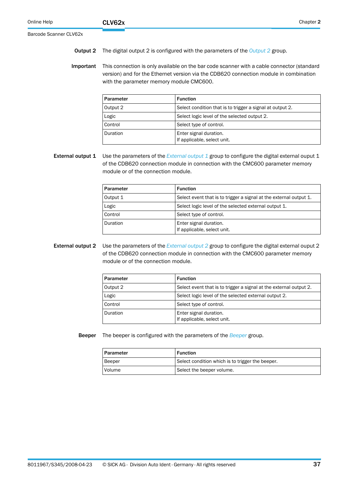Output 2 The digital output 2 is configured with the parameters of the *Output 2* group.

Important This connection is only available on the bar code scanner with a cable connector (standard version) and for the Ethernet version via the CDB620 connection module in combination with the parameter memory module CMC600.

| Parameter | <b>Function</b>                                           |
|-----------|-----------------------------------------------------------|
| Output 2  | Select condition that is to trigger a signal at output 2. |
| Logic     | Select logic level of the selected output 2.              |
| Control   | Select type of control.                                   |
| Duration  | Enter signal duration.<br>If applicable, select unit.     |

External output 1 Use the parameters of the *External output 1* group to configure the digital external ouput 1 of the CDB620 connection module in connection with the CMC600 parameter memory module or of the connection module.

| Parameter | <b>Function</b>                                                    |
|-----------|--------------------------------------------------------------------|
| Output 1  | Select event that is to trigger a signal at the external output 1. |
| Logic     | Select logic level of the selected external output 1.              |
| Control   | Select type of control.                                            |
| Duration  | Enter signal duration.<br>If applicable, select unit.              |

External output 2 Use the parameters of the *External output 2* group to configure the digital external ouput 2 of the CDB620 connection module in connection with the CMC600 parameter memory module or of the connection module.

| <b>Parameter</b> | <b>Function</b>                                                    |
|------------------|--------------------------------------------------------------------|
| Output 2         | Select event that is to trigger a signal at the external output 2. |
| Logic            | Select logic level of the selected external output 2.              |
| Control          | Select type of control.                                            |
| <b>Duration</b>  | Enter signal duration.<br>If applicable, select unit.              |

Beeper The beeper is configured with the parameters of the *Beeper* group.

| <b>Parameter</b> | <b>Function</b>                                  |
|------------------|--------------------------------------------------|
| Beeper           | Select condition which is to trigger the beeper. |
| Volume           | Select the beeper volume.                        |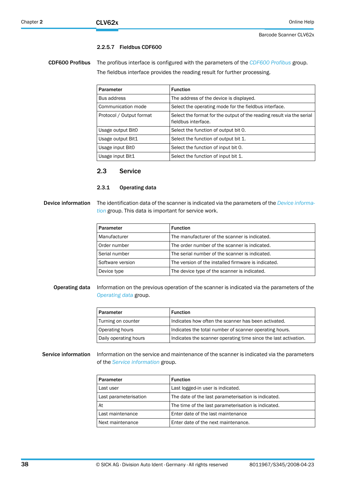## <span id="page-37-0"></span>2.2.5.7 Fieldbus CDF600

CDF600 Profibus The profibus interface is configured with the parameters of the *CDF600 Profibus* group. The fieldbus interface provides the reading result for further processing.

| Parameter                     | <b>Function</b>                                                                              |
|-------------------------------|----------------------------------------------------------------------------------------------|
| <b>Bus address</b>            | The address of the device is displayed.                                                      |
| Communication mode            | Select the operating mode for the fieldbus interface.                                        |
| Protocol / Output format      | Select the format for the output of the reading result via the serial<br>fieldbus interface. |
| Usage output Bit <sub>0</sub> | Select the function of output bit 0.                                                         |
| Usage output Bit1             | Select the function of output bit 1.                                                         |
| Usage input Bit0              | Select the function of input bit 0.                                                          |
| Usage input Bit1              | Select the function of input bit 1.                                                          |

## <span id="page-37-1"></span>2.3 Service

## <span id="page-37-2"></span>2.3.1 Operating data

Device information The identification data of the scanner is indicated via the parameters of the *Device information* group. This data is important for service work.

| Parameter        | <b>Function</b>                                     |
|------------------|-----------------------------------------------------|
| Manufacturer     | The manufacturer of the scanner is indicated.       |
| Order number     | The order number of the scanner is indicated.       |
| Serial number    | The serial number of the scanner is indicated.      |
| Software version | The version of the installed firmware is indicated. |
| Device type      | The device type of the scanner is indicated.        |

Operating data Information on the previous operation of the scanner is indicated via the parameters of the *Operating data* group.

| Parameter             | <b>Function</b>                                                 |
|-----------------------|-----------------------------------------------------------------|
| Turning on counter    | Indicates how often the scanner has been activated.             |
| Operating hours       | Indicates the total number of scanner operating hours.          |
| Daily operating hours | Indicates the scanner operating time since the last activation. |

Service information Information on the service and maintenance of the scanner is indicated via the parameters of the *Service information* group.

| Parameter             | <b>Function</b>                                     |
|-----------------------|-----------------------------------------------------|
| Last user             | Last logged-in user is indicated.                   |
| Last parameterisation | The date of the last parameterisation is indicated. |
| At                    | The time of the last parameterisation is indicated. |
| Last maintenance      | Enter date of the last maintenance                  |
| Next maintenance      | Enter date of the next maintenance.                 |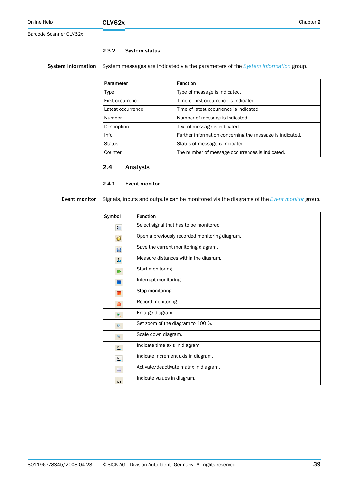## <span id="page-38-0"></span>2.3.2 System status

System information System messages are indicated via the parameters of the *System information* group.

| <b>Parameter</b>  | <b>Function</b>                                          |
|-------------------|----------------------------------------------------------|
| <b>Type</b>       | Type of message is indicated.                            |
| First occurrence  | Time of first occurrence is indicated.                   |
| Latest occurrence | Time of latest occurrence is indicated.                  |
| Number            | Number of message is indicated.                          |
| Description       | Text of message is indicated.                            |
| Info              | Further information concerning the message is indicated. |
| <b>Status</b>     | Status of message is indicated.                          |
| Counter           | The number of message occurrences is indicated.          |

## <span id="page-38-1"></span>2.4 Analysis

#### <span id="page-38-2"></span>2.4.1 Event monitor

Event monitor Signals, inputs and outputs can be monitored via the diagrams of the *Event monitor* group.

| Symbol          | <b>Function</b>                                |
|-----------------|------------------------------------------------|
| 印               | Select signal that has to be monitored.        |
|                 | Open a previously recorded monitoring diagram. |
| $\mathbf{H}$    | Save the current monitoring diagram.           |
| فه              | Measure distances within the diagram.          |
|                 | Start monitoring.                              |
| $\blacksquare$  | Interrupt monitoring.                          |
|                 | Stop monitoring.                               |
|                 | Record monitoring.                             |
| $\mathbb{R}$    | Enlarge diagram.                               |
| $\mathbf{Q}$    | Set zoom of the diagram to 100 %.              |
| Q               | Scale down diagram.                            |
| $M_{\rm{S}}$    | Indicate time axis in diagram.                 |
| M <sub>2</sub>  | Indicate increment axis in diagram.            |
| 囲               | Activate/deactivate matrix in diagram.         |
| $\frac{1}{123}$ | Indicate values in diagram.                    |
|                 |                                                |